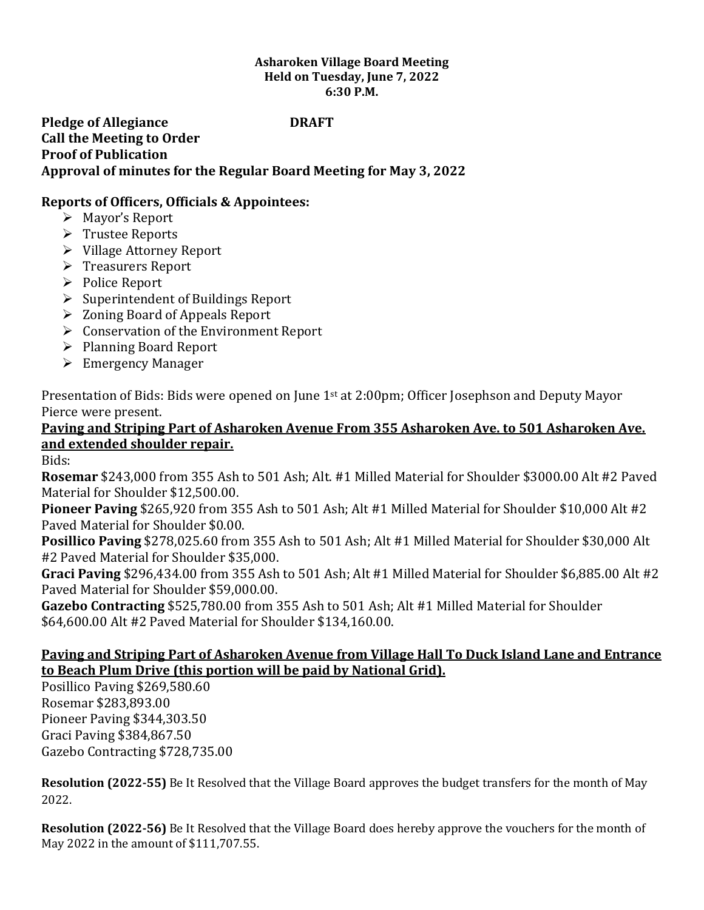#### **Asharoken Village Board Meeting Held on Tuesday, June 7, 2022 6:30 P.M.**

# **Pledge of Allegiance DRAFT Call the Meeting to Order Proof of Publication Approval of minutes for the Regular Board Meeting for May 3, 2022**

# **Reports of Officers, Officials & Appointees:**

- ➢ Mayor's Report
- ➢ Trustee Reports
- ➢ Village Attorney Report
- ➢ Treasurers Report
- ➢ Police Report
- ➢ Superintendent of Buildings Report
- ➢ Zoning Board of Appeals Report
- ➢ Conservation of the Environment Report
- ➢ Planning Board Report
- ➢ Emergency Manager

Presentation of Bids: Bids were opened on June 1<sup>st</sup> at 2:00pm; Officer Josephson and Deputy Mayor Pierce were present.

# **Paving and Striping Part of Asharoken Avenue From 355 Asharoken Ave. to 501 Asharoken Ave. and extended shoulder repair.**

Bids:

**Rosemar** \$243,000 from 355 Ash to 501 Ash; Alt. #1 Milled Material for Shoulder \$3000.00 Alt #2 Paved Material for Shoulder \$12,500.00.

**Pioneer Paving** \$265,920 from 355 Ash to 501 Ash; Alt #1 Milled Material for Shoulder \$10,000 Alt #2 Paved Material for Shoulder \$0.00.

**Posillico Paving** \$278,025.60 from 355 Ash to 501 Ash; Alt #1 Milled Material for Shoulder \$30,000 Alt #2 Paved Material for Shoulder \$35,000.

**Graci Paving** \$296,434.00 from 355 Ash to 501 Ash; Alt #1 Milled Material for Shoulder \$6,885.00 Alt #2 Paved Material for Shoulder \$59,000.00.

**Gazebo Contracting** \$525,780.00 from 355 Ash to 501 Ash; Alt #1 Milled Material for Shoulder \$64,600.00 Alt #2 Paved Material for Shoulder \$134,160.00.

### **Paving and Striping Part of Asharoken Avenue from Village Hall To Duck Island Lane and Entrance to Beach Plum Drive (this portion will be paid by National Grid).**

Posillico Paving \$269,580.60 Rosemar \$283,893.00 Pioneer Paving \$344,303.50 Graci Paving \$384,867.50 Gazebo Contracting \$728,735.00

**Resolution (2022-55)** Be It Resolved that the Village Board approves the budget transfers for the month of May 2022.

**Resolution (2022-56)** Be It Resolved that the Village Board does hereby approve the vouchers for the month of May 2022 in the amount of \$111,707.55.